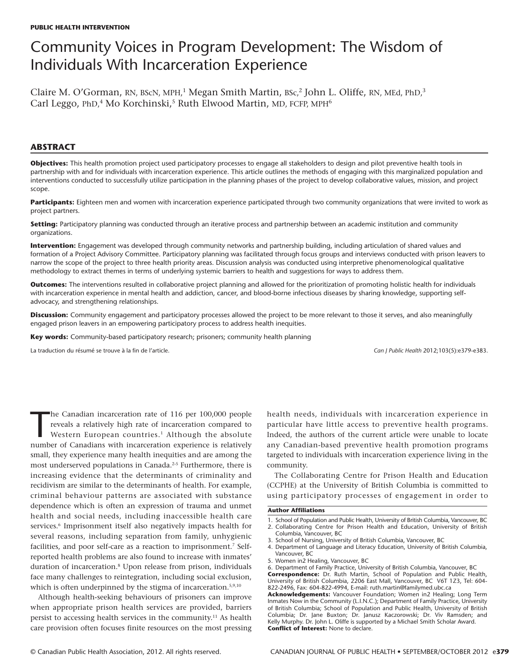# Community Voices in Program Development: The Wisdom of Individuals With Incarceration Experience

Claire M. O'Gorman, RN, BScN, MPH,<sup>1</sup> Megan Smith Martin, BSc,<sup>2</sup> John L. Oliffe, RN, MEd, PhD,<sup>3</sup> Carl Leggo, PhD,<sup>4</sup> Mo Korchinski,<sup>5</sup> Ruth Elwood Martin, MD, FCFP, MPH<sup>6</sup>

# **ABSTRACT**

**Objectives:** This health promotion project used participatory processes to engage all stakeholders to design and pilot preventive health tools in partnership with and for individuals with incarceration experience. This article outlines the methods of engaging with this marginalized population and interventions conducted to successfully utilize participation in the planning phases of the project to develop collaborative values, mission, and project scope.

Participants: Eighteen men and women with incarceration experience participated through two community organizations that were invited to work as project partners.

**Setting:** Participatory planning was conducted through an iterative process and partnership between an academic institution and community organizations.

**Intervention:** Engagement was developed through community networks and partnership building, including articulation of shared values and formation of a Project Advisory Committee. Participatory planning was facilitated through focus groups and interviews conducted with prison leavers to narrow the scope of the project to three health priority areas. Discussion analysis was conducted using interpretive phenomenological qualitative methodology to extract themes in terms of underlying systemic barriers to health and suggestions for ways to address them.

**Outcomes:** The interventions resulted in collaborative project planning and allowed for the prioritization of promoting holistic health for individuals with incarceration experience in mental health and addiction, cancer, and blood-borne infectious diseases by sharing knowledge, supporting selfadvocacy, and strengthening relationships.

**Discussion:** Community engagement and participatory processes allowed the project to be more relevant to those it serves, and also meaningfully engaged prison leavers in an empowering participatory process to address health inequities.

**Key words:** Community-based participatory research; prisoners; community health planning

La traduction du résumé se trouve à la fin de l'article. *Can J Public Health* 2012;103(5):e379-e383.

he Canadian incarceration rate of 116 per 100,000 people<br>reveals a relatively high rate of incarceration compared to<br>Western European countries.<sup>1</sup> Although the absolute<br>number of Canadians with incarceration experience is he Canadian incarceration rate of 116 per 100,000 people reveals a relatively high rate of incarceration compared to Western European countries.<sup>1</sup> Although the absolute small, they experience many health inequities and are among the most underserved populations in Canada.<sup>2-5</sup> Furthermore, there is increasing evidence that the determinants of criminality and recidivism are similar to the determinants of health. For example, criminal behaviour patterns are associated with substance dependence which is often an expression of trauma and unmet health and social needs, including inaccessible health care services.<sup>6</sup> Imprisonment itself also negatively impacts health for several reasons, including separation from family, unhygienic facilities, and poor self-care as a reaction to imprisonment.7 Selfreported health problems are also found to increase with inmates' duration of incarceration.8 Upon release from prison, individuals face many challenges to reintegration, including social exclusion, which is often underpinned by the stigma of incarceration.<sup>5,9,10</sup>

Although health-seeking behaviours of prisoners can improve when appropriate prison health services are provided, barriers persist to accessing health services in the community.<sup>11</sup> As health care provision often focuses finite resources on the most pressing health needs, individuals with incarceration experience in particular have little access to preventive health programs. Indeed, the authors of the current article were unable to locate any Canadian-based preventive health promotion programs targeted to individuals with incarceration experience living in the community.

The Collaborating Centre for Prison Health and Education (CCPHE) at the University of British Columbia is committed to using participatory processes of engagement in order to

### **Author Affiliations**

1. School of Population and Public Health, University of British Columbia, Vancouver, BC

822-2496, Fax: 604-822-4994, E-mail: ruth.martin@familymed.ubc.ca **Acknowledgements:** Vancouver Foundation; Women in2 Healing; Long Term Inmates Now in the Community (L.I.N.C.); Department of Family Practice, University of British Columbia; School of Population and Public Health, University of British Columbia; Dr. Jane Buxton; Dr. Janusz Kaczorowski; Dr. Viv Ramsden; and Kelly Murphy. Dr. John L. Oliffe is supported by a Michael Smith Scholar Award. **Conflict of Interest:** None to declare.

<sup>2.</sup> Collaborating Centre for Prison Health and Education, University of British Columbia, Vancouver, BC

<sup>3.</sup> School of Nursing, University of British Columbia, Vancouver, BC

<sup>4.</sup> Department of Language and Literacy Education, University of British Columbia, Vancouver, BC

<sup>5.</sup> Women in2 Healing, Vancouver, BC

<sup>6.</sup> Department of Family Practice, University of British Columbia, Vancouver, BC **Correspondence:** Dr. Ruth Martin, School of Population and Public Health, University of British Columbia, 2206 East Mall, Vancouver, BC V6T 1Z3, Tel: 604-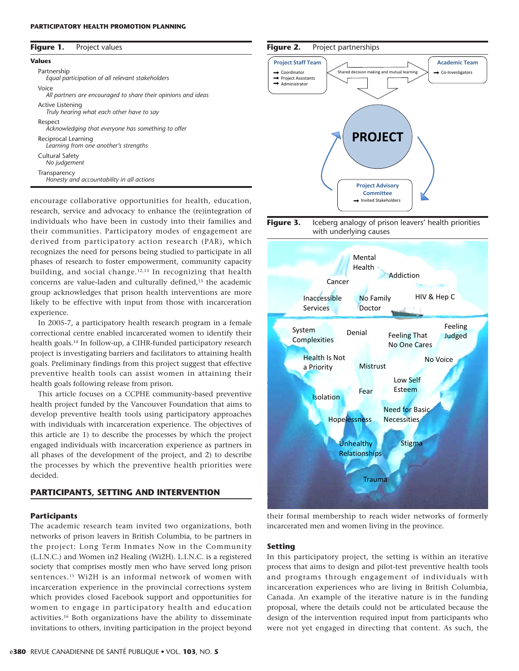### **PARTICIPATORY HEALTH PROMOTION PLANNING**

| Figure 1. | Project values |
|-----------|----------------|
|-----------|----------------|

| Values                                                                 |  |
|------------------------------------------------------------------------|--|
| Partnership<br>Equal participation of all relevant stakeholders        |  |
| Voice<br>All partners are encouraged to share their opinions and ideas |  |
| Active Listening<br>Truly hearing what each other have to say          |  |
| Respect<br>Acknowledging that everyone has something to offer          |  |
| Reciprocal Learning<br>Learning from one another's strengths           |  |
| <b>Cultural Safety</b><br>No judgement                                 |  |
| Transparency<br>Honesty and accountability in all actions              |  |

encourage collaborative opportunities for health, education, research, service and advocacy to enhance the (re)integration of individuals who have been in custody into their families and their communities. Participatory modes of engagement are derived from participatory action research (PAR), which recognizes the need for persons being studied to participate in all phases of research to foster empowerment, community capacity building, and social change.12,13 In recognizing that health concerns are value-laden and culturally defined,<sup>13</sup> the academic group acknowledges that prison health interventions are more likely to be effective with input from those with incarceration experience.

In 2005-7, a participatory health research program in a female correctional centre enabled incarcerated women to identify their health goals.14 In follow-up, a CIHR-funded participatory research project is investigating barriers and facilitators to attaining health goals. Preliminary findings from this project suggest that effective preventive health tools can assist women in attaining their health goals following release from prison.

This article focuses on a CCPHE community-based preventive health project funded by the Vancouver Foundation that aims to develop preventive health tools using participatory approaches with individuals with incarceration experience. The objectives of this article are 1) to describe the processes by which the project engaged individuals with incarceration experience as partners in all phases of the development of the project, and 2) to describe the processes by which the preventive health priorities were decided.

# **PARTICIPANTS, SETTING AND INTERVENTION**

#### **Participants**

The academic research team invited two organizations, both networks of prison leavers in British Columbia, to be partners in the project: Long Term Inmates Now in the Community (L.I.N.C.) and Women in2 Healing (Wi2H). L.I.N.C. is a registered society that comprises mostly men who have served long prison sentences.15 Wi2H is an informal network of women with incarceration experience in the provincial corrections system which provides closed Facebook support and opportunities for women to engage in participatory health and education activities.16 Both organizations have the ability to disseminate invitations to others, inviting participation in the project beyond

# **Figure 2.** Project partnerships







their formal membership to reach wider networks of formerly incarcerated men and women living in the province.

# **Setting**

In this participatory project, the setting is within an iterative process that aims to design and pilot-test preventive health tools and programs through engagement of individuals with incarceration experiences who are living in British Columbia, Canada. An example of the iterative nature is in the funding proposal, where the details could not be articulated because the design of the intervention required input from participants who were not yet engaged in directing that content. As such, the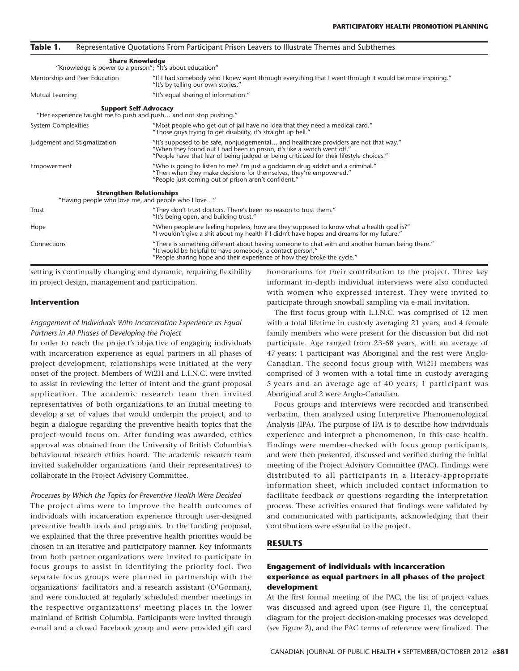| Table 1.                                                                                          | Representative Quotations From Participant Prison Leavers to Illustrate Themes and Subthemes                                                                                                                                                                  |  |
|---------------------------------------------------------------------------------------------------|---------------------------------------------------------------------------------------------------------------------------------------------------------------------------------------------------------------------------------------------------------------|--|
| <b>Share Knowledge</b><br>"Knowledge is power to a person"; "It's about education"                |                                                                                                                                                                                                                                                               |  |
| Mentorship and Peer Education                                                                     | "If I had somebody who I knew went through everything that I went through it would be more inspiring."<br>"It's by telling our own stories."                                                                                                                  |  |
| Mutual Learning                                                                                   | "It's equal sharing of information."                                                                                                                                                                                                                          |  |
| <b>Support Self-Advocacy</b><br>"Her experience taught me to push and push and not stop pushing." |                                                                                                                                                                                                                                                               |  |
| System Complexities                                                                               | "Most people who get out of jail have no idea that they need a medical card."<br>"Those guys trying to get disability, it's straight up hell."                                                                                                                |  |
| Judgement and Stigmatization                                                                      | "It's supposed to be safe, nonjudgemental and healthcare providers are not that way."<br>"When they found out I had been in prison, it's like a switch went off."<br>"People have that fear of being judged or being criticized for their lifestyle choices." |  |
| Empowerment                                                                                       | "Who is going to listen to me? I'm just a goddamn drug addict and a criminal."<br>"Then when they make decisions for themselves, they're empowered."<br>"People just coming out of prison aren't confident."                                                  |  |
| <b>Strengthen Relationships</b><br>"Having people who love me, and people who I love"             |                                                                                                                                                                                                                                                               |  |
| Trust                                                                                             | "They don't trust doctors. There's been no reason to trust them."<br>"It's being open, and building trust."                                                                                                                                                   |  |
| Hope                                                                                              | "When people are feeling hopeless, how are they supposed to know what a health goal is?"<br>"I wouldn't give a shit about my health if I didn't have hopes and dreams for my future."                                                                         |  |
| Connections                                                                                       | "There is something different about having someone to chat with and another human being there."<br>"It would be helpful to have somebody, a contact person."<br>"People sharing hope and their experience of how they broke the cycle."                       |  |

setting is continually changing and dynamic, requiring flexibility in project design, management and participation.

## **Intervention**

# *Engagement of Individuals With Incarceration Experience as Equal Partners in All Phases of Developing the Project*

In order to reach the project's objective of engaging individuals with incarceration experience as equal partners in all phases of project development, relationships were initiated at the very onset of the project. Members of Wi2H and L.I.N.C. were invited to assist in reviewing the letter of intent and the grant proposal application. The academic research team then invited representatives of both organizations to an initial meeting to develop a set of values that would underpin the project, and to begin a dialogue regarding the preventive health topics that the project would focus on. After funding was awarded, ethics approval was obtained from the University of British Columbia's behavioural research ethics board. The academic research team invited stakeholder organizations (and their representatives) to collaborate in the Project Advisory Committee.

#### *Processes by Which the Topics for Preventive Health Were Decided*

The project aims were to improve the health outcomes of individuals with incarceration experience through user-designed preventive health tools and programs. In the funding proposal, we explained that the three preventive health priorities would be chosen in an iterative and participatory manner. Key informants from both partner organizations were invited to participate in focus groups to assist in identifying the priority foci. Two separate focus groups were planned in partnership with the organizations' facilitators and a research assistant (O'Gorman), and were conducted at regularly scheduled member meetings in the respective organizations' meeting places in the lower mainland of British Columbia. Participants were invited through e-mail and a closed Facebook group and were provided gift card

honorariums for their contribution to the project. Three key informant in-depth individual interviews were also conducted with women who expressed interest. They were invited to participate through snowball sampling via e-mail invitation.

The first focus group with L.I.N.C. was comprised of 12 men with a total lifetime in custody averaging 21 years, and 4 female family members who were present for the discussion but did not participate. Age ranged from 23-68 years, with an average of 47 years; 1 participant was Aboriginal and the rest were Anglo-Canadian. The second focus group with Wi2H members was comprised of 3 women with a total time in custody averaging 5 years and an average age of 40 years; 1 participant was Aboriginal and 2 were Anglo-Canadian.

Focus groups and interviews were recorded and transcribed verbatim, then analyzed using Interpretive Phenomenological Analysis (IPA). The purpose of IPA is to describe how individuals experience and interpret a phenomenon, in this case health. Findings were member-checked with focus group participants, and were then presented, discussed and verified during the initial meeting of the Project Advisory Committee (PAC). Findings were distributed to all participants in a literacy-appropriate information sheet, which included contact information to facilitate feedback or questions regarding the interpretation process. These activities ensured that findings were validated by and communicated with participants, acknowledging that their contributions were essential to the project.

## **RESULTS**

# **Engagement of individuals with incarceration experience as equal partners in all phases of the project development**

At the first formal meeting of the PAC, the list of project values was discussed and agreed upon (see Figure 1), the conceptual diagram for the project decision-making processes was developed (see Figure 2), and the PAC terms of reference were finalized. The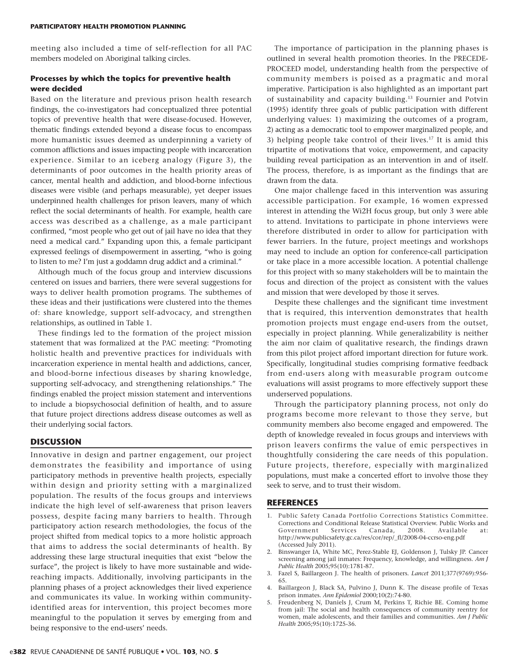meeting also included a time of self-reflection for all PAC members modeled on Aboriginal talking circles.

# **Processes by which the topics for preventive health were decided**

Based on the literature and previous prison health research findings, the co-investigators had conceptualized three potential topics of preventive health that were disease-focused. However, thematic findings extended beyond a disease focus to encompass more humanistic issues deemed as underpinning a variety of common afflictions and issues impacting people with incarceration experience. Similar to an iceberg analogy (Figure 3), the determinants of poor outcomes in the health priority areas of cancer, mental health and addiction, and blood-borne infectious diseases were visible (and perhaps measurable), yet deeper issues underpinned health challenges for prison leavers, many of which reflect the social determinants of health. For example, health care access was described as a challenge, as a male participant confirmed, "most people who get out of jail have no idea that they need a medical card." Expanding upon this, a female participant expressed feelings of disempowerment in asserting, "who is going to listen to me? I'm just a goddamn drug addict and a criminal."

Although much of the focus group and interview discussions centered on issues and barriers, there were several suggestions for ways to deliver health promotion programs. The subthemes of these ideas and their justifications were clustered into the themes of: share knowledge, support self-advocacy, and strengthen relationships, as outlined in Table 1.

These findings led to the formation of the project mission statement that was formalized at the PAC meeting: "Promoting holistic health and preventive practices for individuals with incarceration experience in mental health and addictions, cancer, and blood-borne infectious diseases by sharing knowledge, supporting self-advocacy, and strengthening relationships." The findings enabled the project mission statement and interventions to include a biopsychosocial definition of health, and to assure that future project directions address disease outcomes as well as their underlying social factors.

# **DISCUSSION**

Innovative in design and partner engagement, our project demonstrates the feasibility and importance of using participatory methods in preventive health projects, especially within design and priority setting with a marginalized population. The results of the focus groups and interviews indicate the high level of self-awareness that prison leavers possess, despite facing many barriers to health. Through participatory action research methodologies, the focus of the project shifted from medical topics to a more holistic approach that aims to address the social determinants of health. By addressing these large structural inequities that exist "below the surface", the project is likely to have more sustainable and widereaching impacts. Additionally, involving participants in the planning phases of a project acknowledges their lived experience and communicates its value. In working within communityidentified areas for intervention, this project becomes more meaningful to the population it serves by emerging from and being responsive to the end-users' needs.

The importance of participation in the planning phases is outlined in several health promotion theories. In the PRECEDE-PROCEED model, understanding health from the perspective of community members is poised as a pragmatic and moral imperative. Participation is also highlighted as an important part of sustainability and capacity building.13 Fournier and Potvin (1995) identify three goals of public participation with different underlying values: 1) maximizing the outcomes of a program, 2) acting as a democratic tool to empower marginalized people, and 3) helping people take control of their lives.17 It is amid this tripartite of motivations that voice, empowerment, and capacity building reveal participation as an intervention in and of itself. The process, therefore, is as important as the findings that are drawn from the data.

One major challenge faced in this intervention was assuring accessible participation. For example, 16 women expressed interest in attending the Wi2H focus group, but only 3 were able to attend. Invitations to participate in phone interviews were therefore distributed in order to allow for participation with fewer barriers. In the future, project meetings and workshops may need to include an option for conference-call participation or take place in a more accessible location. A potential challenge for this project with so many stakeholders will be to maintain the focus and direction of the project as consistent with the values and mission that were developed by those it serves.

Despite these challenges and the significant time investment that is required, this intervention demonstrates that health promotion projects must engage end-users from the outset, especially in project planning. While generalizability is neither the aim nor claim of qualitative research, the findings drawn from this pilot project afford important direction for future work. Specifically, longitudinal studies comprising formative feedback from end-users along with measurable program outcome evaluations will assist programs to more effectively support these underserved populations.

Through the participatory planning process, not only do programs become more relevant to those they serve, but community members also become engaged and empowered. The depth of knowledge revealed in focus groups and interviews with prison leavers confirms the value of emic perspectives in thoughtfully considering the care needs of this population. Future projects, therefore, especially with marginalized populations, must make a concerted effort to involve those they seek to serve, and to trust their wisdom.

## **REFERENCES**

- 1. Public Safety Canada Portfolio Corrections Statistics Committee. Corrections and Conditional Release Statistical Overview. Public Works and Government Services Canada, 2008. Available at: http://www.publicsafety.gc.ca/res/cor/rep/\_fl/2008-04-ccrso-eng.pdf (Accessed July 2011).
- 2. Binswanger IA, White MC, Perez-Stable EJ, Goldenson J, Tulsky JP. Cancer screening among jail inmates: Frequency, knowledge, and willingness. *Am J Public Health* 2005;95(10):1781-87.
- 3. Fazel S, Baillargeon J. The health of prisoners. *Lancet* 2011;377(9769):956- 65.
- 4. Baillargeon J, Black SA, Pulvino J, Dunn K. The disease profile of Texas prison inmates. *Ann Epidemiol* 2000;10(2):74-80.
- 5. Freudenberg N, Daniels J, Crum M, Perkins T, Richie BE. Coming home from jail: The social and health consequences of community reentry for women, male adolescents, and their families and communities. *Am J Public Health* 2005;95(10):1725-36.